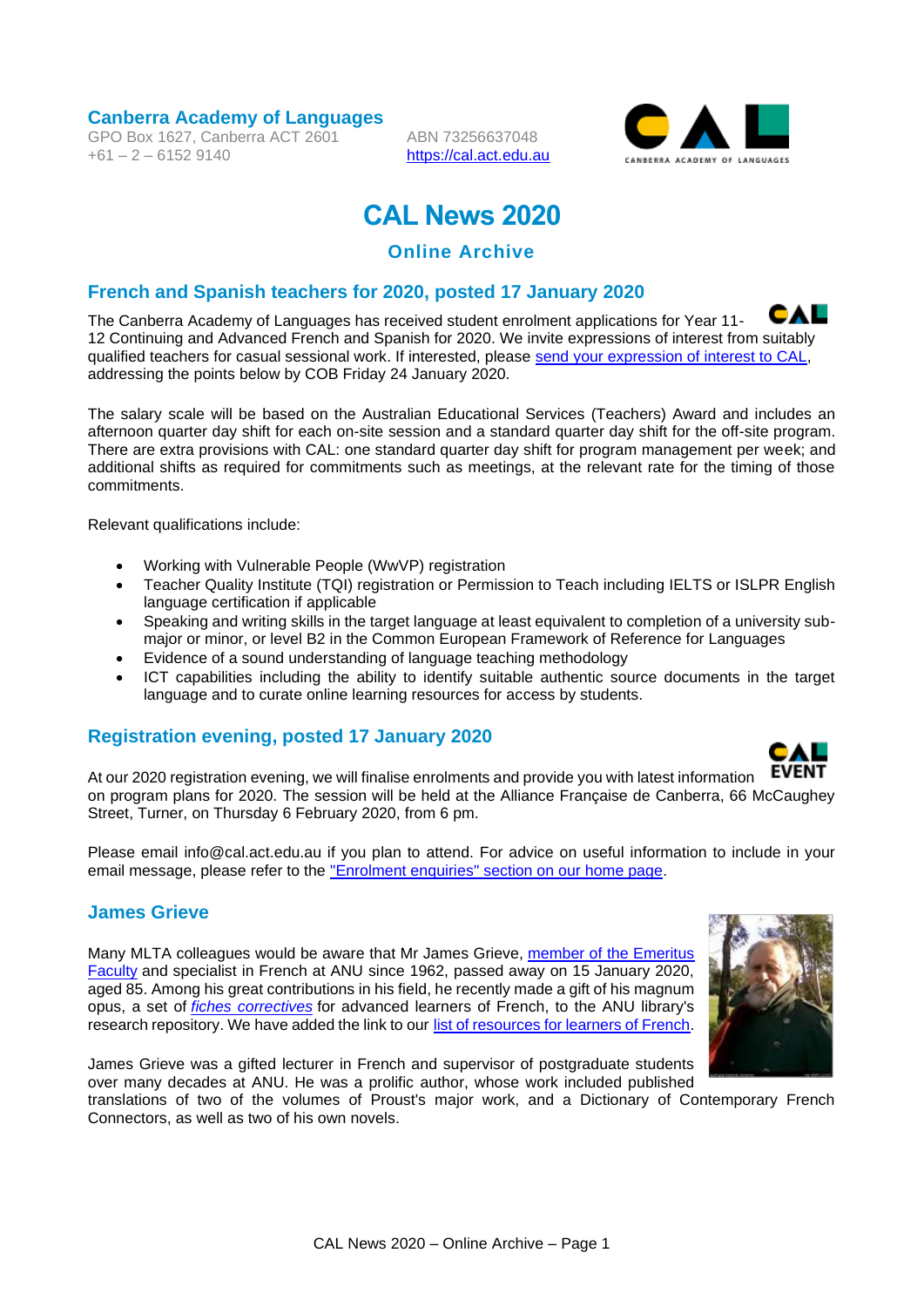**Canberra Academy of Languages**

GPO Box 1627, Canberra ACT 2601  $+61 - 2 - 61529140$ 

ABN 73256637048 [https://cal.act.edu.au](https://cal.act.edu.au/)



# **CAL News 2020**

## **Online Archive**

#### **French and Spanish teachers for 2020, posted 17 January 2020**

CAL The Canberra Academy of Languages has received student enrolment applications for Year 11- 12 Continuing and Advanced French and Spanish for 2020. We invite expressions of interest from suitably qualified teachers for casual sessional work. If interested, please [send your expression of interest to CAL,](mailto:info@cal.act.edu.au)  addressing the points below by COB Friday 24 January 2020.

The salary scale will be based on the Australian Educational Services (Teachers) Award and includes an afternoon quarter day shift for each on-site session and a standard quarter day shift for the off-site program. There are extra provisions with CAL: one standard quarter day shift for program management per week; and additional shifts as required for commitments such as meetings, at the relevant rate for the timing of those commitments.

Relevant qualifications include:

- Working with Vulnerable People (WwVP) registration
- Teacher Quality Institute (TQI) registration or Permission to Teach including IELTS or ISLPR English language certification if applicable
- Speaking and writing skills in the target language at least equivalent to completion of a university submajor or minor, or level B2 in the Common European Framework of Reference for Languages
- Evidence of a sound understanding of language teaching methodology
- ICT capabilities including the ability to identify suitable authentic source documents in the target language and to curate online learning resources for access by students.

#### **Registration evening, posted 17 January 2020**



At our 2020 registration evening, we will finalise enrolments and provide you with latest information on program plans for 2020. The session will be held at the Alliance Française de Canberra, 66 McCaughey Street, Turner, on Thursday 6 February 2020, from 6 pm.

Please email info@cal.act.edu.au if you plan to attend. For advice on useful information to include in your email message, please refer to the ["Enrolment enquiries" section on our home page.](https://cal.act.edu.au/index.htm#enrolment)

#### **James Grieve**

Many MLTA colleagues would be aware that Mr James Grieve, [member of the Emeritus](https://openresearch-repository.anu.edu.au/handle/1885/12915)  [Faculty](https://openresearch-repository.anu.edu.au/handle/1885/12915) and specialist in French at ANU since 1962, passed away on 15 January 2020, aged 85. Among his great contributions in his field, he recently made a gift of his magnum opus, a set of *[fiches correctives](https://anulib.anu.edu.au/news-events/news/anu-icon-james-grieve-finishes-magnum-opus)* for advanced learners of French, to the ANU library's research repository. We have added the link to our [list of resources for learners of French.](https://languages.org.au/french/french.htm)



James Grieve was a gifted lecturer in French and supervisor of postgraduate students over many decades at ANU. He was a prolific author, whose work included published

translations of two of the volumes of Proust's major work, and a Dictionary of Contemporary French Connectors, as well as two of his own novels.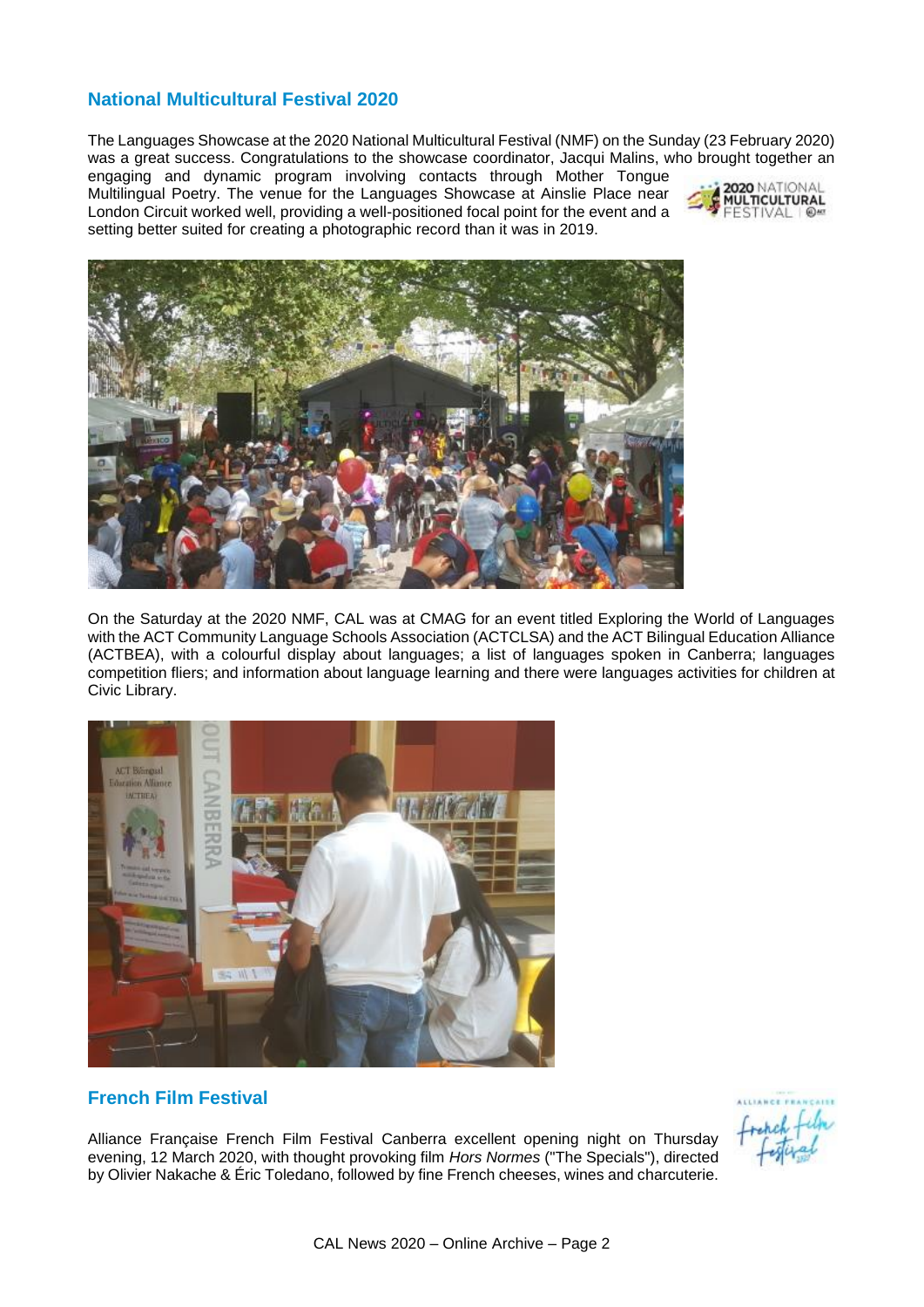## **National Multicultural Festival 2020**

The Languages Showcase at the 2020 National Multicultural Festival (NMF) on the Sunday (23 February 2020) was a great success. Congratulations to the showcase coordinator, Jacqui Malins, who brought together an

engaging and dynamic program involving contacts through Mother Tongue Multilingual Poetry. The venue for the Languages Showcase at Ainslie Place near London Circuit worked well, providing a well-positioned focal point for the event and a setting better suited for creating a photographic record than it was in 2019.





On the Saturday at the 2020 NMF, CAL was at CMAG for an event titled Exploring the World of Languages with the ACT Community Language Schools Association (ACTCLSA) and the ACT Bilingual Education Alliance (ACTBEA), with a colourful display about languages; a list of languages spoken in Canberra; languages competition fliers; and information about language learning and there were languages activities for children at Civic Library.



#### **French Film Festival**

Alliance Française French Film Festival Canberra excellent opening night on Thursday evening, 12 March 2020, with thought provoking film *Hors Normes* ("The Specials"), directed by Olivier Nakache & Éric Toledano, followed by fine French cheeses, wines and charcuterie.

repeh film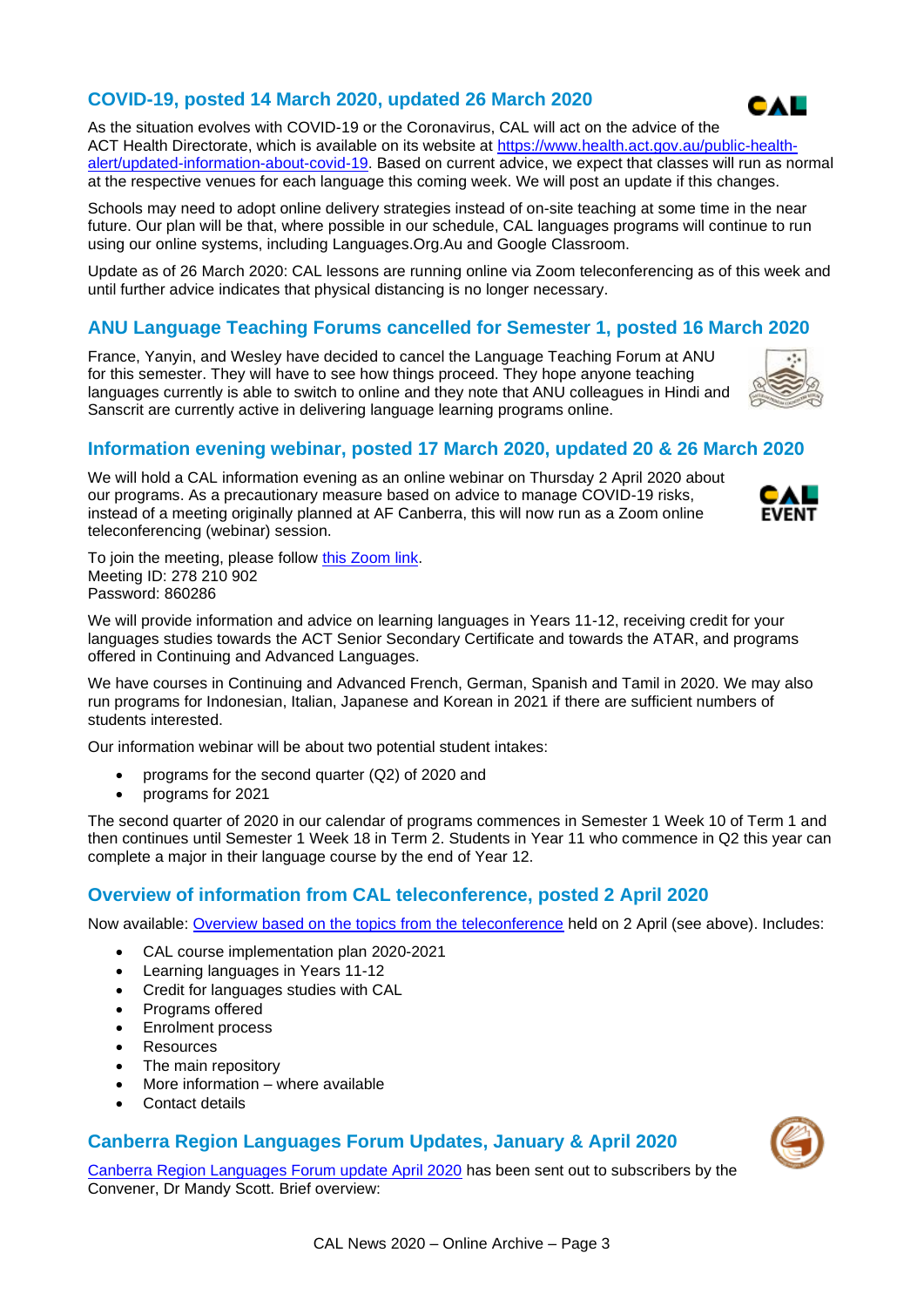# **COVID-19, posted 14 March 2020, updated 26 March 2020**

As the situation evolves with COVID-19 or the Coronavirus, CAL will act on the advice of the ACT Health Directorate, which is available on its website at [https://www.health.act.gov.au/public-health](https://www.health.act.gov.au/public-health-alert/updated-information-about-covid-19)[alert/updated-information-about-covid-19.](https://www.health.act.gov.au/public-health-alert/updated-information-about-covid-19) Based on current advice, we expect that classes will run as normal at the respective venues for each language this coming week. We will post an update if this changes.

Schools may need to adopt online delivery strategies instead of on-site teaching at some time in the near future. Our plan will be that, where possible in our schedule, CAL languages programs will continue to run using our online systems, including Languages.Org.Au and Google Classroom.

Update as of 26 March 2020: CAL lessons are running online via Zoom teleconferencing as of this week and until further advice indicates that physical distancing is no longer necessary.

# **ANU Language Teaching Forums cancelled for Semester 1, posted 16 March 2020**

France, Yanyin, and Wesley have decided to cancel the Language Teaching Forum at ANU for this semester. They will have to see how things proceed. They hope anyone teaching languages currently is able to switch to online and they note that ANU colleagues in Hindi and Sanscrit are currently active in delivering language learning programs online.

# **Information evening webinar, posted 17 March 2020, updated 20 & 26 March 2020**

We will hold a CAL information evening as an online webinar on Thursday 2 April 2020 about our programs. As a precautionary measure based on advice to manage COVID-19 risks, instead of a meeting originally planned at AF Canberra, this will now run as a Zoom online teleconferencing (webinar) session.

To join the meeting, please follow [this Zoom link.](https://us04web.zoom.us/j/278210902?pwd=bllkTnpHZGRJeThSekFrU2cxdkViUT09%3C/a) Meeting ID: 278 210 902 Password: 860286

We will provide information and advice on learning languages in Years 11-12, receiving credit for your languages studies towards the ACT Senior Secondary Certificate and towards the ATAR, and programs offered in Continuing and Advanced Languages.

We have courses in Continuing and Advanced French, German, Spanish and Tamil in 2020. We may also run programs for Indonesian, Italian, Japanese and Korean in 2021 if there are sufficient numbers of students interested.

Our information webinar will be about two potential student intakes:

- programs for the second quarter (Q2) of 2020 and
- programs for 2021

The second quarter of 2020 in our calendar of programs commences in Semester 1 Week 10 of Term 1 and then continues until Semester 1 Week 18 in Term 2. Students in Year 11 who commence in Q2 this year can complete a major in their language course by the end of Year 12.

## **Overview of information from CAL teleconference, posted 2 April 2020**

Now available: [Overview based on the topics from the teleconference](https://cal.act.edu.au/docs/CAL_Information_Evening_2020-04-02_Overview_web_v2.pdf) held on 2 April (see above). Includes:

- CAL course implementation plan 2020-2021
- Learning languages in Years 11-12
- Credit for languages studies with CAL
- Programs offered
- Enrolment process
- Resources
- The main repository
- More information where available
- Contact details

#### **Canberra Region Languages Forum Updates, January & April 2020**

[Canberra Region Languages Forum update April 2020](https://cal.act.edu.au/docs/Languages_Forum_Update_April_2020.pdf) has been sent out to subscribers by the Convener, Dr Mandy Scott. Brief overview:







**FVFNT** 

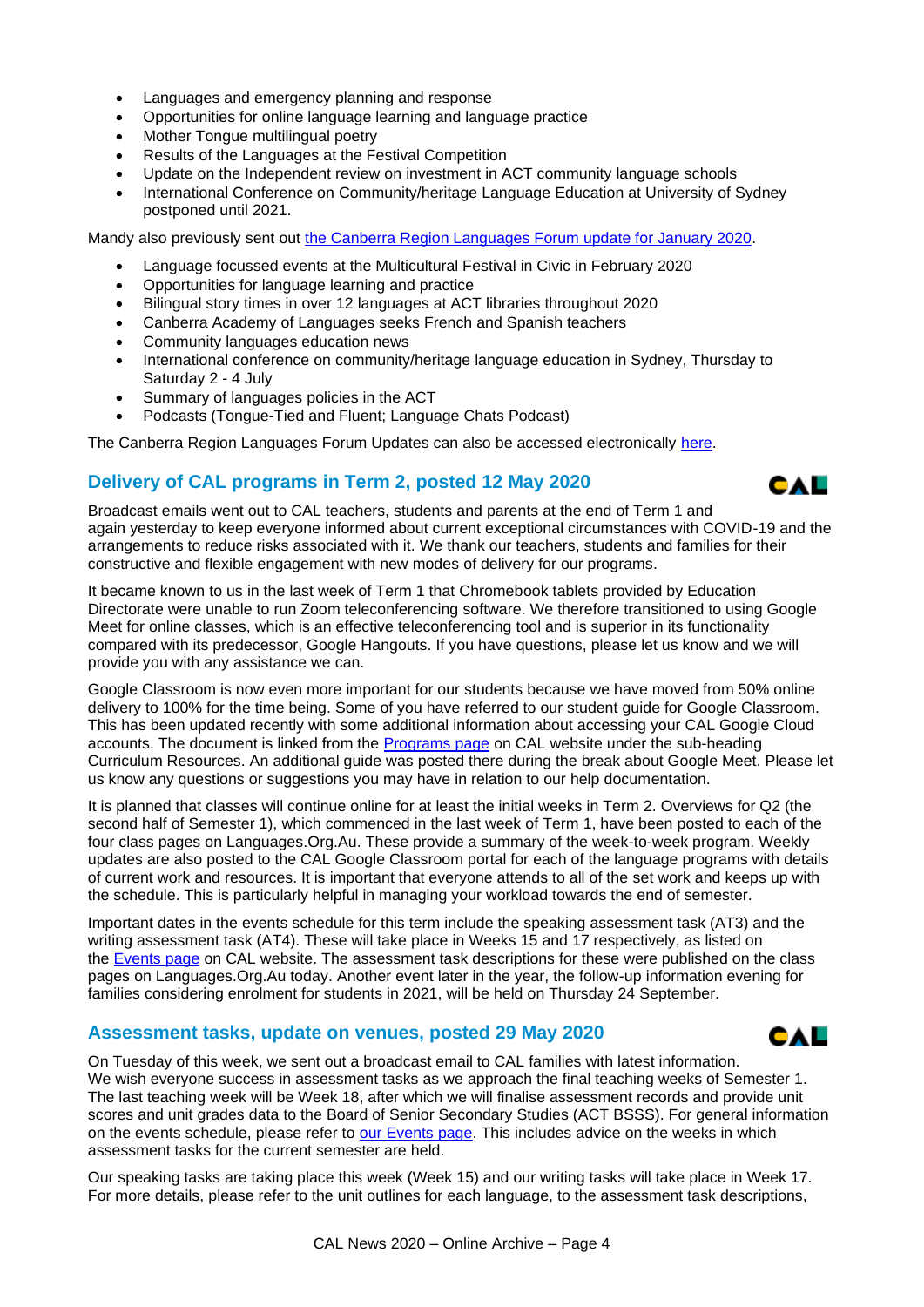- Languages and emergency planning and response
- Opportunities for online language learning and language practice
- Mother Tongue multilingual poetry
- Results of the Languages at the Festival Competition
- Update on the Independent review on investment in ACT community language schools
- International Conference on Community/heritage Language Education at University of Sydney postponed until 2021.

Mandy also previously sent out [the Canberra Region Languages Forum update for January 2020.](https://cal.act.edu.au/docs/Languages_Forum_Update_January_2020.pdf)

- Language focussed events at the Multicultural Festival in Civic in February 2020
- Opportunities for language learning and practice
- Bilingual story times in over 12 languages at ACT libraries throughout 2020
- Canberra Academy of Languages seeks French and Spanish teachers
- Community languages education news
- International conference on community/heritage language education in Sydney, Thursday to Saturday 2 - 4 July
- Summary of languages policies in the ACT
- Podcasts (Tongue-Tied and Fluent; Language Chats Podcast)

The Canberra Region Languages Forum Updates can also be accessed electronically [here.](http://canberralanguages.blogspot.com/p/forum-updates.html)

## **Delivery of CAL programs in Term 2, posted 12 May 2020**



CAL

Broadcast emails went out to CAL teachers, students and parents at the end of Term 1 and again yesterday to keep everyone informed about current exceptional circumstances with COVID-19 and the arrangements to reduce risks associated with it. We thank our teachers, students and families for their constructive and flexible engagement with new modes of delivery for our programs.

It became known to us in the last week of Term 1 that Chromebook tablets provided by Education Directorate were unable to run Zoom teleconferencing software. We therefore transitioned to using Google Meet for online classes, which is an effective teleconferencing tool and is superior in its functionality compared with its predecessor, Google Hangouts. If you have questions, please let us know and we will provide you with any assistance we can.

Google Classroom is now even more important for our students because we have moved from 50% online delivery to 100% for the time being. Some of you have referred to our student guide for Google Classroom. This has been updated recently with some additional information about accessing your CAL Google Cloud accounts. The document is linked from the [Programs page](https://cal.act.edu.au/programs.htm) on CAL website under the sub-heading Curriculum Resources. An additional guide was posted there during the break about Google Meet. Please let us know any questions or suggestions you may have in relation to our help documentation.

It is planned that classes will continue online for at least the initial weeks in Term 2. Overviews for Q2 (the second half of Semester 1), which commenced in the last week of Term 1, have been posted to each of the four class pages on Languages.Org.Au. These provide a summary of the week-to-week program. Weekly updates are also posted to the CAL Google Classroom portal for each of the language programs with details of current work and resources. It is important that everyone attends to all of the set work and keeps up with the schedule. This is particularly helpful in managing your workload towards the end of semester.

Important dates in the events schedule for this term include the speaking assessment task (AT3) and the writing assessment task (AT4). These will take place in Weeks 15 and 17 respectively, as listed on the [Events page](https://cal.act.edu.au/events.htm) on CAL website. The assessment task descriptions for these were published on the class pages on Languages.Org.Au today. Another event later in the year, the follow-up information evening for families considering enrolment for students in 2021, will be held on Thursday 24 September.

#### **Assessment tasks, update on venues, posted 29 May 2020**



Our speaking tasks are taking place this week (Week 15) and our writing tasks will take place in Week 17. For more details, please refer to the unit outlines for each language, to the assessment task descriptions,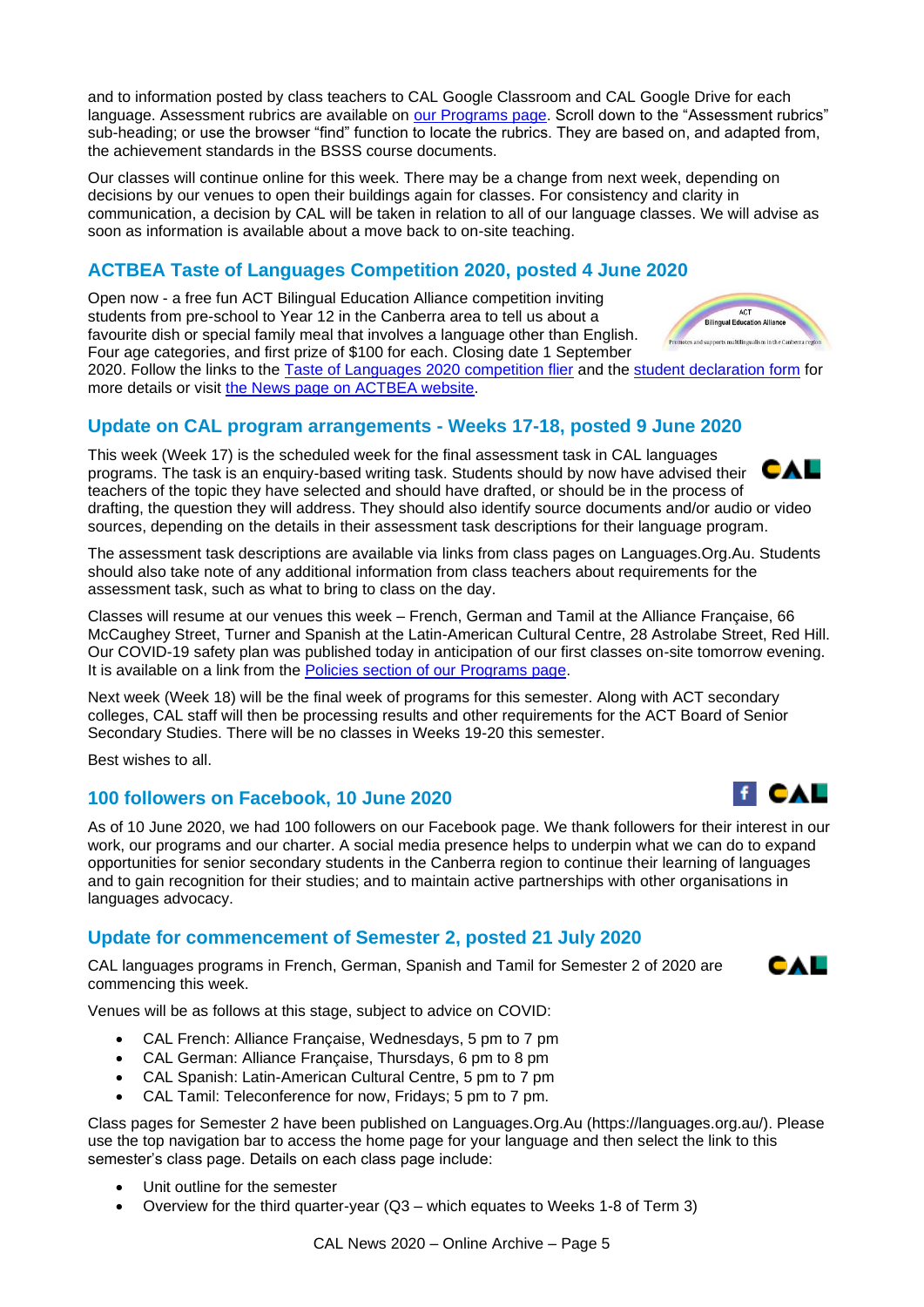and to information posted by class teachers to CAL Google Classroom and CAL Google Drive for each language. Assessment rubrics are available on [our Programs page.](https://cal.act.edu.au/programs.htm) Scroll down to the "Assessment rubrics" sub-heading; or use the browser "find" function to locate the rubrics. They are based on, and adapted from, the achievement standards in the BSSS course documents.

Our classes will continue online for this week. There may be a change from next week, depending on decisions by our venues to open their buildings again for classes. For consistency and clarity in communication, a decision by CAL will be taken in relation to all of our language classes. We will advise as soon as information is available about a move back to on-site teaching.

# **ACTBEA Taste of Languages Competition 2020, posted 4 June 2020**

Open now - a free fun ACT Bilingual Education Alliance competition inviting students from pre-school to Year 12 in the Canberra area to tell us about a favourite dish or special family meal that involves a language other than English. Four age categories, and first prize of \$100 for each. Closing date 1 September

2020. Follow the links to the [Taste of Languages 2020 competition flier](https://cal.act.edu.au/docs/ACTBEA_Taste_of_Languages_2020_flier.pdf) and the [student declaration form](https://cal.act.edu.au/ACTBEA_Taste_of_Languages_2020_student_declaration_form.docx) for more details or visit [the News page on ACTBEA website.](https://cal.act.edu.au/%3Chttps:/actbilingual.weebly.com/news.html)

# **Update on CAL program arrangements - Weeks 17-18, posted 9 June 2020**

This week (Week 17) is the scheduled week for the final assessment task in CAL languages programs. The task is an enquiry-based writing task. Students should by now have advised their  $\Box$ teachers of the topic they have selected and should have drafted, or should be in the process of drafting, the question they will address. They should also identify source documents and/or audio or video sources, depending on the details in their assessment task descriptions for their language program.

The assessment task descriptions are available via links from class pages on Languages.Org.Au. Students should also take note of any additional information from class teachers about requirements for the assessment task, such as what to bring to class on the day.

Classes will resume at our venues this week – French, German and Tamil at the Alliance Française, 66 McCaughey Street, Turner and Spanish at the Latin-American Cultural Centre, 28 Astrolabe Street, Red Hill. Our COVID-19 safety plan was published today in anticipation of our first classes on-site tomorrow evening. It is available on a link from the [Policies section of our Programs page.](https://cal.act.edu.au/programs.htm#policies)

Next week (Week 18) will be the final week of programs for this semester. Along with ACT secondary colleges, CAL staff will then be processing results and other requirements for the ACT Board of Senior Secondary Studies. There will be no classes in Weeks 19-20 this semester.

Best wishes to all.

#### **100 followers on Facebook, 10 June 2020**

As of 10 June 2020, we had 100 followers on our Facebook page. We thank followers for their interest in our work, our programs and our charter. A social media presence helps to underpin what we can do to expand opportunities for senior secondary students in the Canberra region to continue their learning of languages and to gain recognition for their studies; and to maintain active partnerships with other organisations in languages advocacy.

## **Update for commencement of Semester 2, posted 21 July 2020**

CAL languages programs in French, German, Spanish and Tamil for Semester 2 of 2020 are commencing this week.

Venues will be as follows at this stage, subject to advice on COVID:

- CAL French: Alliance Française, Wednesdays, 5 pm to 7 pm
- CAL German: Alliance Française, Thursdays, 6 pm to 8 pm
- CAL Spanish: Latin-American Cultural Centre, 5 pm to 7 pm
- CAL Tamil: Teleconference for now, Fridays; 5 pm to 7 pm.

Class pages for Semester 2 have been published on Languages.Org.Au (https://languages.org.au/). Please use the top navigation bar to access the home page for your language and then select the link to this semester's class page. Details on each class page include:

- Unit outline for the semester
- Overview for the third quarter-year (Q3 which equates to Weeks 1-8 of Term 3)



**ACT Bilingual Education Alliand** upports multilingualism in the Capb



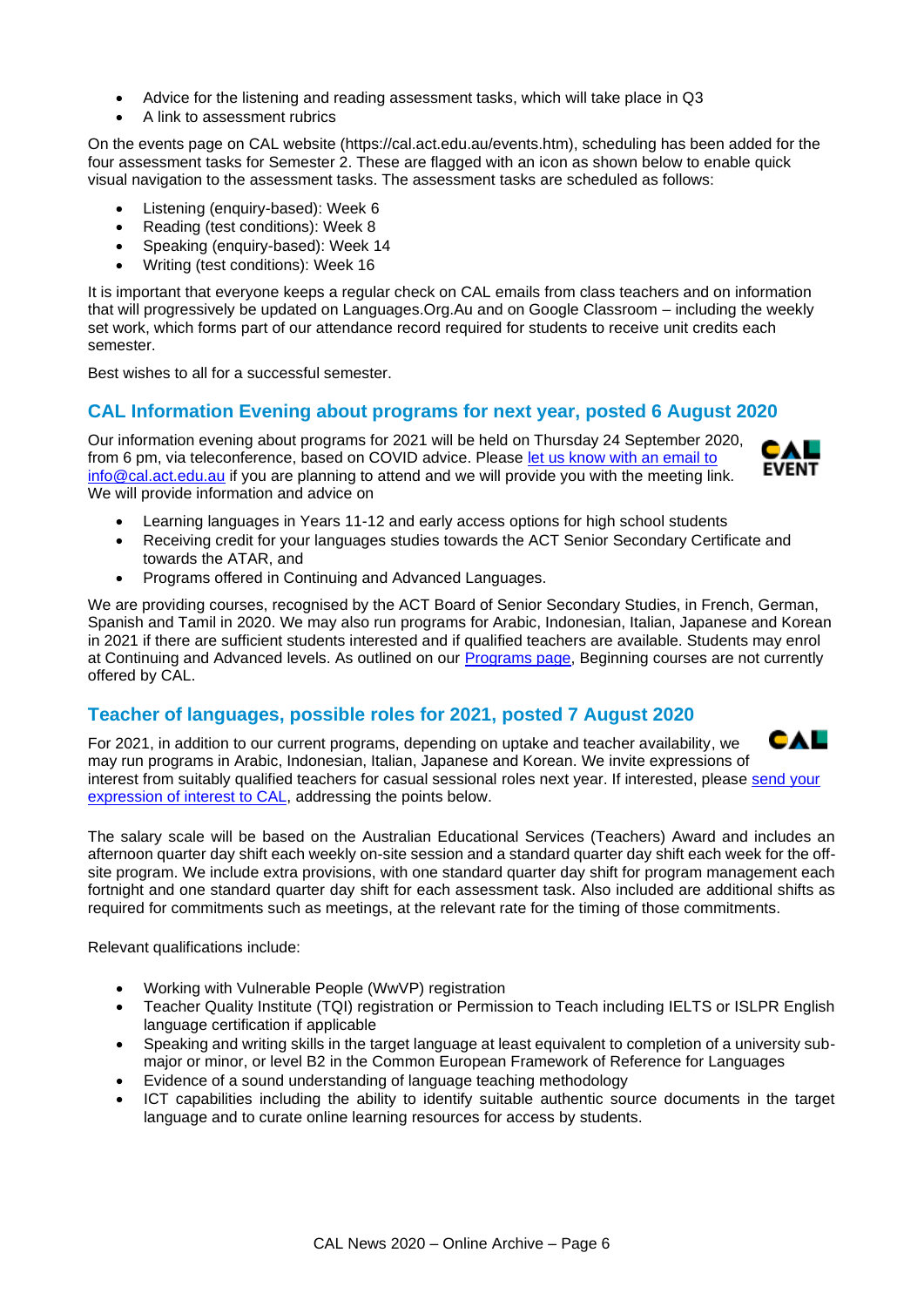- Advice for the listening and reading assessment tasks, which will take place in Q3
- A link to assessment rubrics

On the events page on CAL website (https://cal.act.edu.au/events.htm), scheduling has been added for the four assessment tasks for Semester 2. These are flagged with an icon as shown below to enable quick visual navigation to the assessment tasks. The assessment tasks are scheduled as follows:

- Listening (enquiry-based): Week 6
- Reading (test conditions): Week 8
- Speaking (enquiry-based): Week 14
- Writing (test conditions): Week 16

It is important that everyone keeps a regular check on CAL emails from class teachers and on information that will progressively be updated on Languages.Org.Au and on Google Classroom – including the weekly set work, which forms part of our attendance record required for students to receive unit credits each semester.

Best wishes to all for a successful semester.

#### **CAL Information Evening about programs for next year, posted 6 August 2020**

Our information evening about programs for 2021 will be held on Thursday 24 September 2020, from 6 pm, via teleconference, based on COVID advice. Please [let us know with an email to](mailto:info@cal.act.edu.au)  [info@cal.act.edu.au](mailto:info@cal.act.edu.au) if you are planning to attend and we will provide you with the meeting link. We will provide information and advice on



- Learning languages in Years 11-12 and early access options for high school students
- Receiving credit for your languages studies towards the ACT Senior Secondary Certificate and towards the ATAR, and
- Programs offered in Continuing and Advanced Languages.

We are providing courses, recognised by the ACT Board of Senior Secondary Studies, in French, German, Spanish and Tamil in 2020. We may also run programs for Arabic, Indonesian, Italian, Japanese and Korean in 2021 if there are sufficient students interested and if qualified teachers are available. Students may enrol at Continuing and Advanced levels. As outlined on our [Programs page,](https://cal.act.edu.au/programs.htm) Beginning courses are not currently offered by CAL.

## **Teacher of languages, possible roles for 2021, posted 7 August 2020**

For 2021, in addition to our current programs, depending on uptake and teacher availability, we may run programs in Arabic, Indonesian, Italian, Japanese and Korean. We invite expressions of interest from suitably qualified teachers for casual sessional roles next year. If interested, please [send your](mailto:info@cal.act.edu.au)  [expression of interest to CAL,](mailto:info@cal.act.edu.au) addressing the points below.

The salary scale will be based on the Australian Educational Services (Teachers) Award and includes an afternoon quarter day shift each weekly on-site session and a standard quarter day shift each week for the offsite program. We include extra provisions, with one standard quarter day shift for program management each fortnight and one standard quarter day shift for each assessment task. Also included are additional shifts as required for commitments such as meetings, at the relevant rate for the timing of those commitments.

Relevant qualifications include:

- Working with Vulnerable People (WwVP) registration
- Teacher Quality Institute (TQI) registration or Permission to Teach including IELTS or ISLPR English language certification if applicable
- Speaking and writing skills in the target language at least equivalent to completion of a university submajor or minor, or level B2 in the Common European Framework of Reference for Languages
- Evidence of a sound understanding of language teaching methodology
- ICT capabilities including the ability to identify suitable authentic source documents in the target language and to curate online learning resources for access by students.

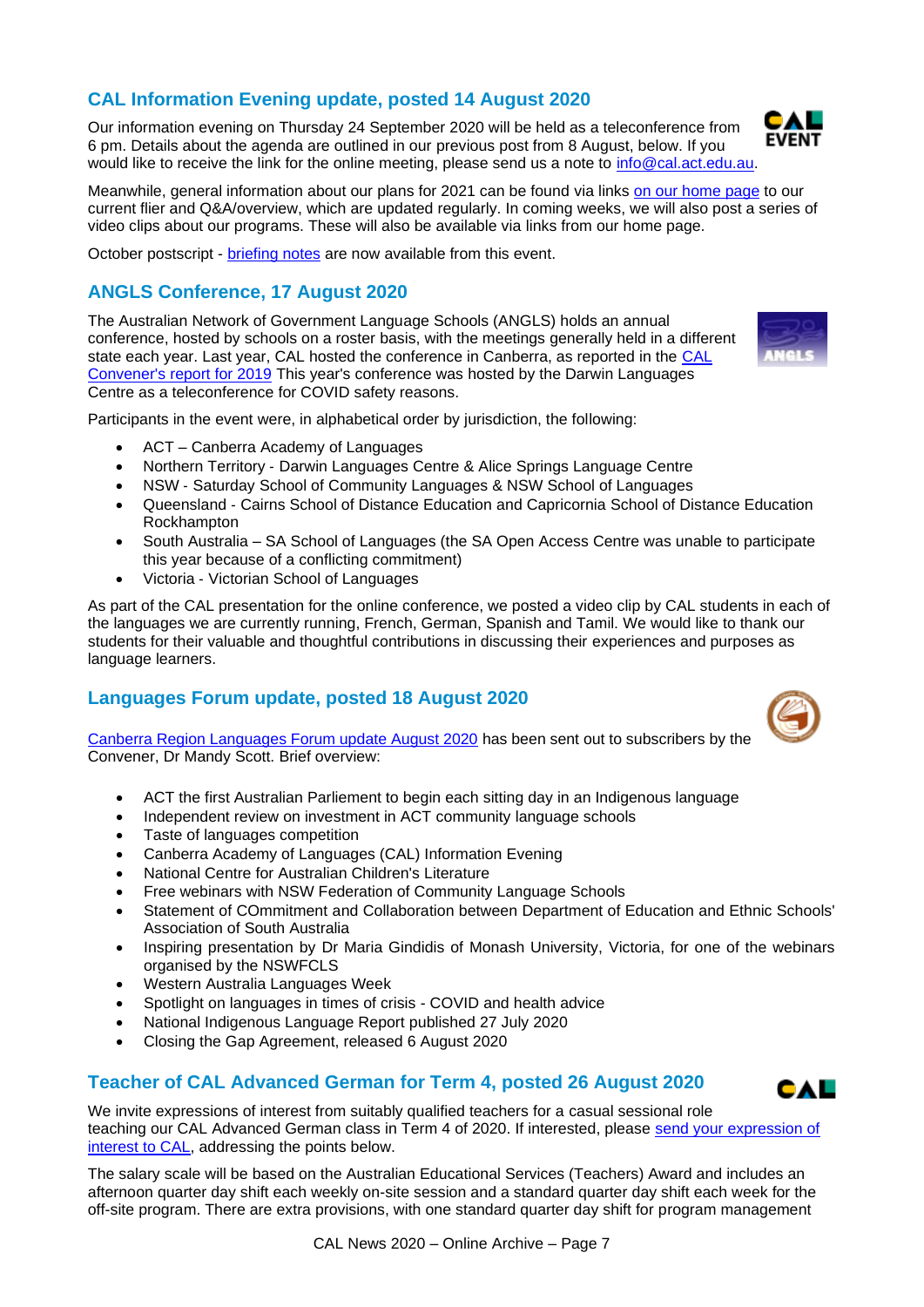## **CAL Information Evening update, posted 14 August 2020**

Our information evening on Thursday 24 September 2020 will be held as a teleconference from 6 pm. Details about the agenda are outlined in our previous post from 8 August, below. If you would like to receive the link for the online meeting, please send us a note to [info@cal.act.edu.au.](mailto:info@cal.act.edu.au)

Meanwhile, general information about our plans for 2021 can be found via links [on our home page](https://cal.act.edu.au/index.htm) to our current flier and Q&A/overview, which are updated regularly. In coming weeks, we will also post a series of video clips about our programs. These will also be available via links from our home page.

October postscript - [briefing notes](https://cal.act.edu.au/docs/CAL_Information_Evening_2020-09-24_Briefing.pdf) are now available from this event.

# **ANGLS Conference, 17 August 2020**

The Australian Network of Government Language Schools (ANGLS) holds an annual conference, hosted by schools on a roster basis, with the meetings generally held in a different state each year. Last year, CAL hosted the conference in Canberra, as reported in the [CAL](https://cal.act.edu.au/docs/Convener_Report_CAL_2019.pdf)  [Convener's report for 2019](https://cal.act.edu.au/docs/Convener_Report_CAL_2019.pdf) This year's conference was hosted by the Darwin Languages Centre as a teleconference for COVID safety reasons.

Participants in the event were, in alphabetical order by jurisdiction, the following:

- ACT Canberra Academy of Languages
- Northern Territory ‐ Darwin Languages Centre & Alice Springs Language Centre
- NSW Saturday School of Community Languages & NSW School of Languages
- Queensland Cairns School of Distance Education and Capricornia School of Distance Education Rockhampton
- South Australia SA School of Languages (the SA Open Access Centre was unable to participate this year because of a conflicting commitment)
- Victoria ‐ Victorian School of Languages

As part of the CAL presentation for the online conference, we posted a video clip by CAL students in each of the languages we are currently running, French, German, Spanish and Tamil. We would like to thank our students for their valuable and thoughtful contributions in discussing their experiences and purposes as language learners.

## **Languages Forum update, posted 18 August 2020**

[Canberra Region Languages Forum update August 2020](https://cal.act.edu.au/docs/Languages_Forum_Update_August_2020.pdf) has been sent out to subscribers by the Convener, Dr Mandy Scott. Brief overview:

- ACT the first Australian Parliement to begin each sitting day in an Indigenous language
- Independent review on investment in ACT community language schools
- Taste of languages competition
- Canberra Academy of Languages (CAL) Information Evening
- National Centre for Australian Children's Literature
- Free webinars with NSW Federation of Community Language Schools
- Statement of COmmitment and Collaboration between Department of Education and Ethnic Schools' Association of South Australia
- Inspiring presentation by Dr Maria Gindidis of Monash University, Victoria, for one of the webinars organised by the NSWFCLS
- Western Australia Languages Week
- Spotlight on languages in times of crisis COVID and health advice
- National Indigenous Language Report published 27 July 2020
- Closing the Gap Agreement, released 6 August 2020

#### **Teacher of CAL Advanced German for Term 4, posted 26 August 2020**

We invite expressions of interest from suitably qualified teachers for a casual sessional role teaching our CAL Advanced German class in Term 4 of 2020. If interested, please send your expression of [interest to CAL,](mailto:info@cal.act.edu.au) addressing the points below.

The salary scale will be based on the Australian Educational Services (Teachers) Award and includes an afternoon quarter day shift each weekly on-site session and a standard quarter day shift each week for the off-site program. There are extra provisions, with one standard quarter day shift for program management





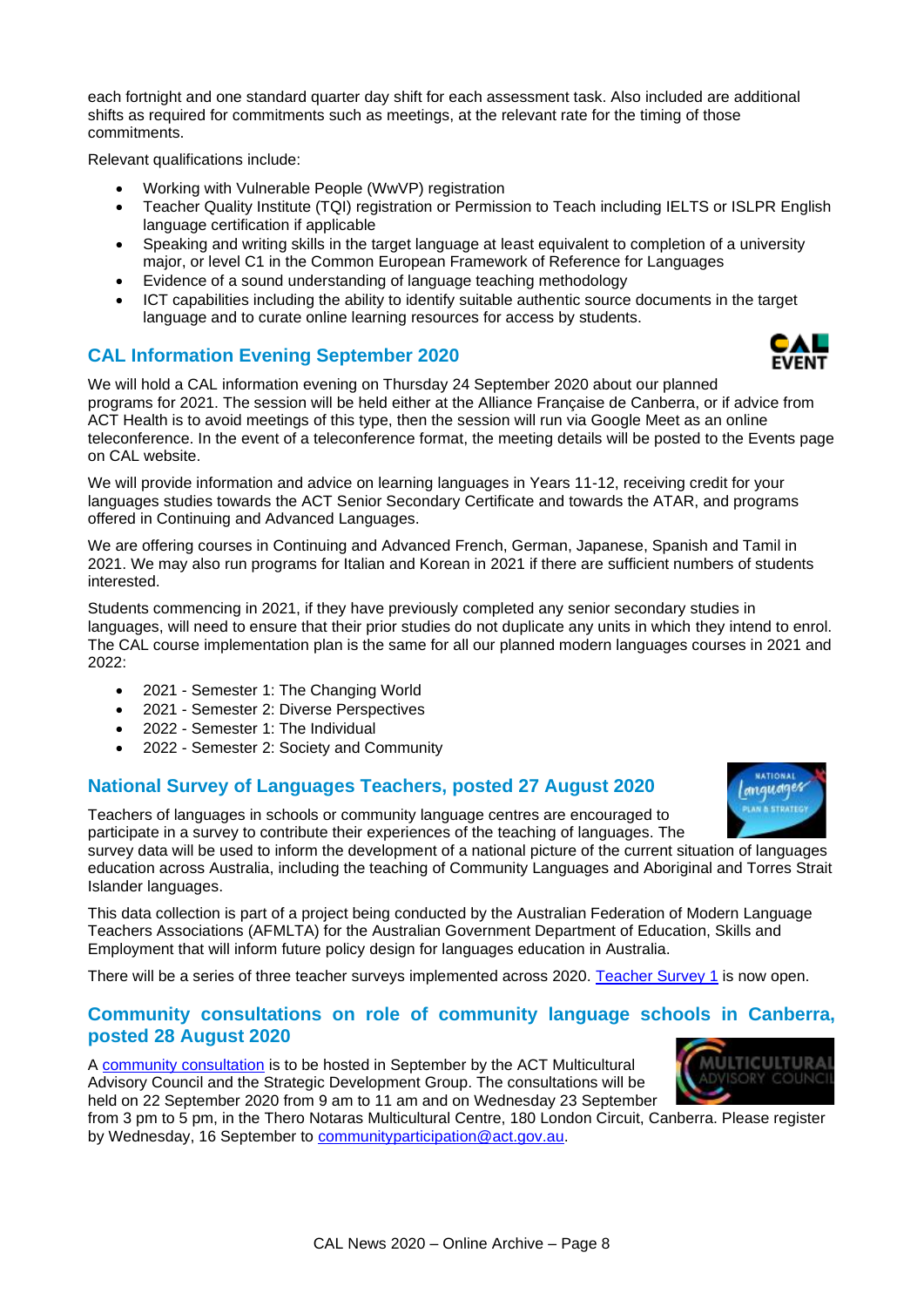each fortnight and one standard quarter day shift for each assessment task. Also included are additional shifts as required for commitments such as meetings, at the relevant rate for the timing of those commitments.

Relevant qualifications include:

- Working with Vulnerable People (WwVP) registration
- Teacher Quality Institute (TQI) registration or Permission to Teach including IELTS or ISLPR English language certification if applicable
- Speaking and writing skills in the target language at least equivalent to completion of a university major, or level C1 in the Common European Framework of Reference for Languages
- Evidence of a sound understanding of language teaching methodology
- ICT capabilities including the ability to identify suitable authentic source documents in the target language and to curate online learning resources for access by students.

## **CAL Information Evening September 2020**

We will hold a CAL information evening on Thursday 24 September 2020 about our planned programs for 2021. The session will be held either at the Alliance Française de Canberra, or if advice from ACT Health is to avoid meetings of this type, then the session will run via Google Meet as an online teleconference. In the event of a teleconference format, the meeting details will be posted to the Events page on CAL website.

We will provide information and advice on learning languages in Years 11-12, receiving credit for your languages studies towards the ACT Senior Secondary Certificate and towards the ATAR, and programs offered in Continuing and Advanced Languages.

We are offering courses in Continuing and Advanced French, German, Japanese, Spanish and Tamil in 2021. We may also run programs for Italian and Korean in 2021 if there are sufficient numbers of students interested.

Students commencing in 2021, if they have previously completed any senior secondary studies in languages, will need to ensure that their prior studies do not duplicate any units in which they intend to enrol. The CAL course implementation plan is the same for all our planned modern languages courses in 2021 and 2022:

- 2021 Semester 1: The Changing World
- 2021 Semester 2: Diverse Perspectives
- 2022 Semester 1: The Individual
- 2022 Semester 2: Society and Community

#### **National Survey of Languages Teachers, posted 27 August 2020**

Teachers of languages in schools or community language centres are encouraged to participate in a survey to contribute their experiences of the teaching of languages. The

survey data will be used to inform the development of a national picture of the current situation of languages education across Australia, including the teaching of Community Languages and Aboriginal and Torres Strait Islander languages.

This data collection is part of a project being conducted by the Australian Federation of Modern Language Teachers Associations (AFMLTA) for the Australian Government Department of Education, Skills and Employment that will inform future policy design for languages education in Australia.

There will be a series of three teacher surveys implemented across 2020. [Teacher Survey 1](https://nlps.afmlta.asn.au/) is now open.

## **Community consultations on role of community language schools in Canberra, posted 28 August 2020**

A [community consultation](https://cal.act.edu.au/docs/Invitation_Community_Language_Schools_Consultations.pdf) is to be hosted in September by the ACT Multicultural Advisory Council and the Strategic Development Group. The consultations will be held on 22 September 2020 from 9 am to 11 am and on Wednesday 23 September

from 3 pm to 5 pm, in the Thero Notaras Multicultural Centre, 180 London Circuit, Canberra. Please register by Wednesday, 16 September to [communityparticipation@act.gov.au.](mailto:communityparticipation@act.gov.au)





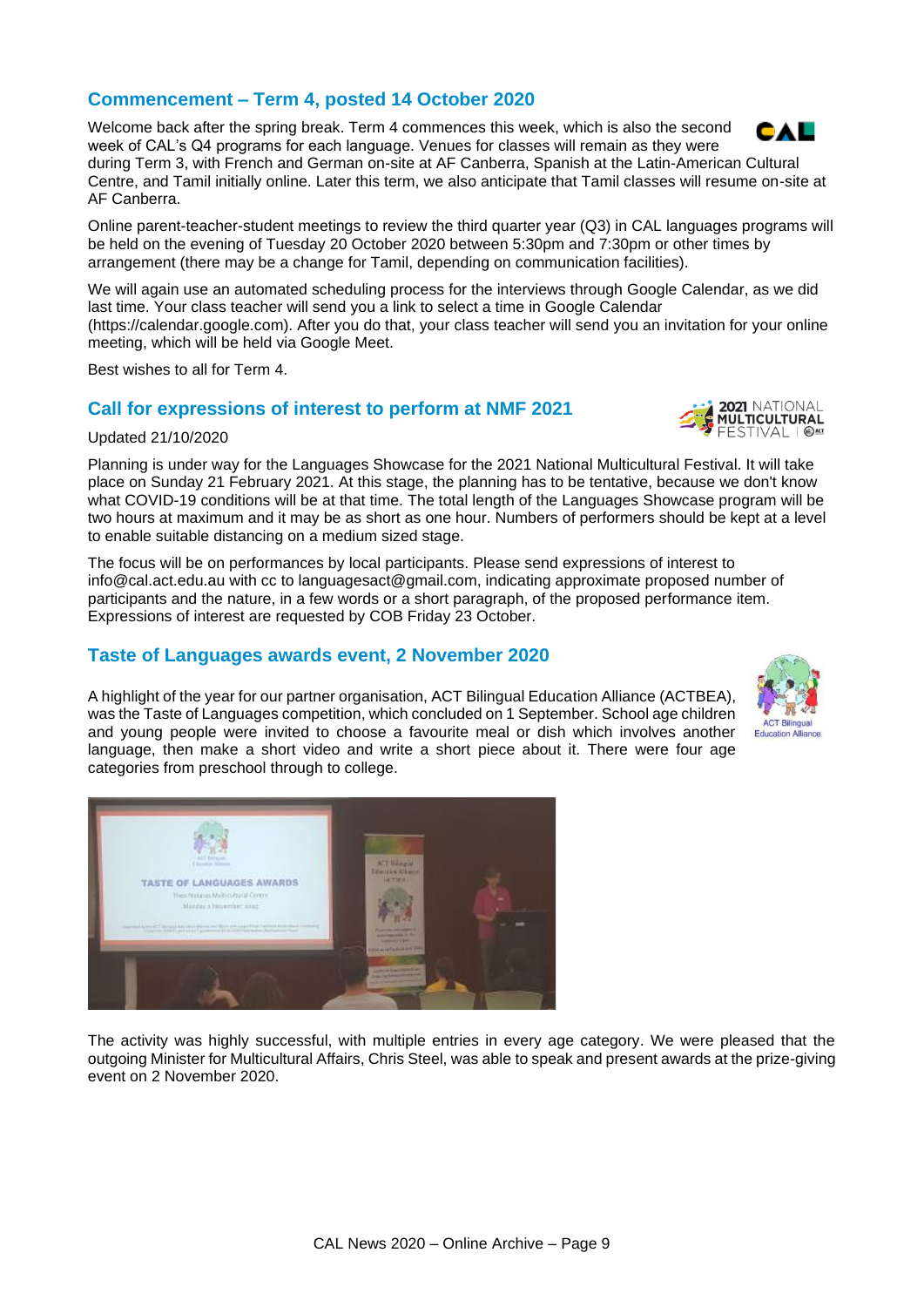# **Commencement – Term 4, posted 14 October 2020**

Welcome back after the spring break. Term 4 commences this week, which is also the second week of CAL's Q4 programs for each language. Venues for classes will remain as they were

during Term 3, with French and German on-site at AF Canberra, Spanish at the Latin-American Cultural Centre, and Tamil initially online. Later this term, we also anticipate that Tamil classes will resume on-site at AF Canberra.

Online parent-teacher-student meetings to review the third quarter year (Q3) in CAL languages programs will be held on the evening of Tuesday 20 October 2020 between 5:30pm and 7:30pm or other times by arrangement (there may be a change for Tamil, depending on communication facilities).

We will again use an automated scheduling process for the interviews through Google Calendar, as we did last time. Your class teacher will send you a link to select a time in Google Calendar (https://calendar.google.com). After you do that, your class teacher will send you an invitation for your online meeting, which will be held via Google Meet.

Best wishes to all for Term 4.

TASTE OF LANGUAGES AWARDS Thes Notarios Melboutsuid Cent<br>Manday a November 1998

## **Call for expressions of interest to perform at NMF 2021**

#### Updated 21/10/2020

Planning is under way for the Languages Showcase for the 2021 National Multicultural Festival. It will take place on Sunday 21 February 2021. At this stage, the planning has to be tentative, because we don't know what COVID-19 conditions will be at that time. The total length of the Languages Showcase program will be two hours at maximum and it may be as short as one hour. Numbers of performers should be kept at a level to enable suitable distancing on a medium sized stage.

The focus will be on performances by local participants. Please send expressions of interest to info@cal.act.edu.au with cc to languagesact@gmail.com, indicating approximate proposed number of participants and the nature, in a few words or a short paragraph, of the proposed performance item. Expressions of interest are requested by COB Friday 23 October.

## **Taste of Languages awards event, 2 November 2020**

A highlight of the year for our partner organisation, ACT Bilingual Education Alliance (ACTBEA), was the Taste of Languages competition, which concluded on 1 September. School age children and young people were invited to choose a favourite meal or dish which involves another language, then make a short video and write a short piece about it. There were four age categories from preschool through to college.

The activity was highly successful, with multiple entries in every age category. We were pleased that the outgoing Minister for Multicultural Affairs, Chris Steel, was able to speak and present awards at the prize-giving event on 2 November 2020.





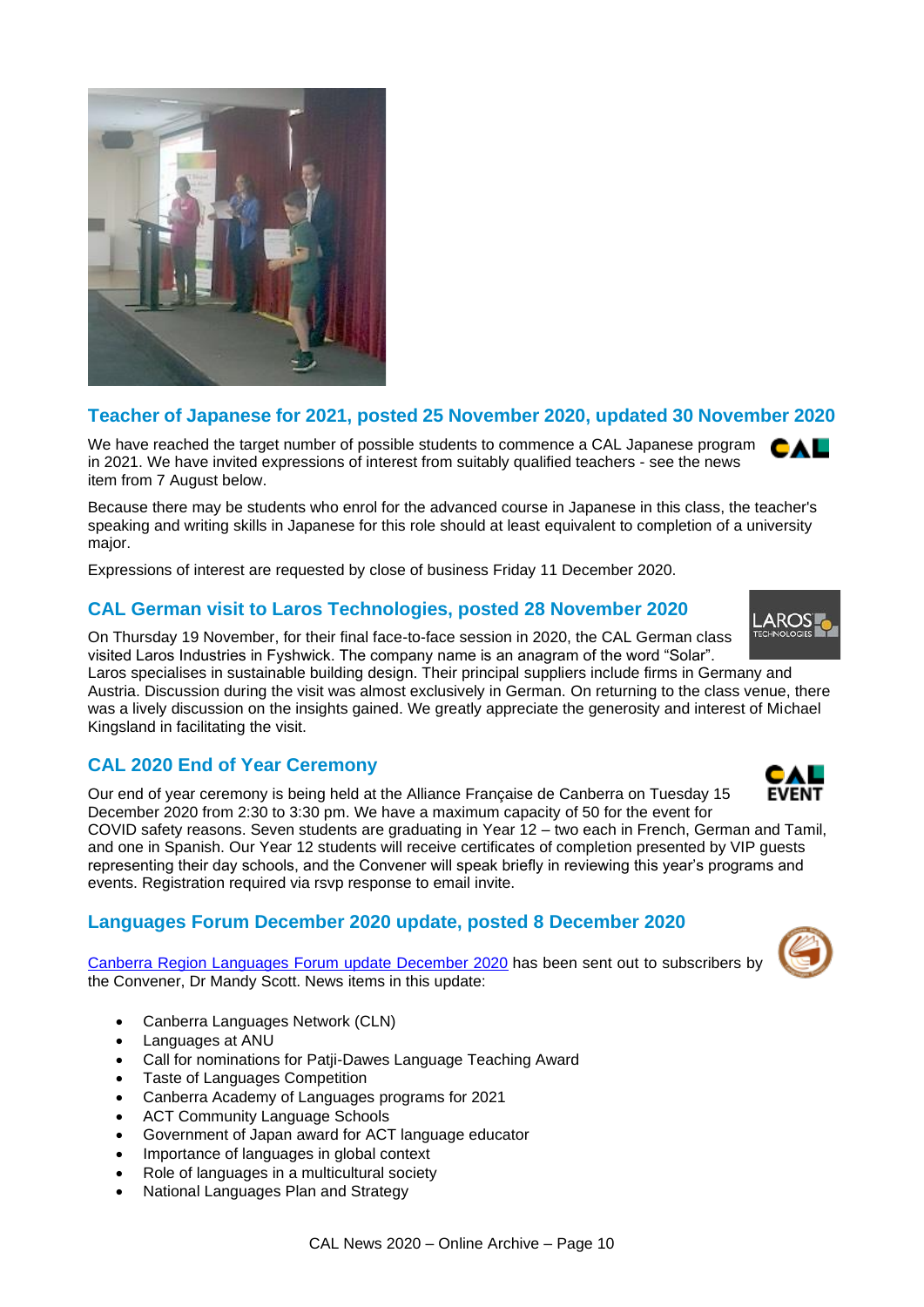

## **Teacher of Japanese for 2021, posted 25 November 2020, updated 30 November 2020**

We have reached the target number of possible students to commence a CAL Japanese program in 2021. We have invited expressions of interest from suitably qualified teachers - see the news item from 7 August below.

Because there may be students who enrol for the advanced course in Japanese in this class, the teacher's speaking and writing skills in Japanese for this role should at least equivalent to completion of a university major.

Expressions of interest are requested by close of business Friday 11 December 2020.

# **CAL German visit to Laros Technologies, posted 28 November 2020**

On Thursday 19 November, for their final face-to-face session in 2020, the CAL German class visited Laros Industries in Fyshwick. The company name is an anagram of the word "Solar". Laros specialises in sustainable building design. Their principal suppliers include firms in Germany and

Austria. Discussion during the visit was almost exclusively in German. On returning to the class venue, there was a lively discussion on the insights gained. We greatly appreciate the generosity and interest of Michael Kingsland in facilitating the visit.

## **CAL 2020 End of Year Ceremony**

Our end of year ceremony is being held at the Alliance Française de Canberra on Tuesday 15 December 2020 from 2:30 to 3:30 pm. We have a maximum capacity of 50 for the event for COVID safety reasons. Seven students are graduating in Year 12 – two each in French, German and Tamil,

and one in Spanish. Our Year 12 students will receive certificates of completion presented by VIP guests representing their day schools, and the Convener will speak briefly in reviewing this year's programs and events. Registration required via rsvp response to email invite.

## **Languages Forum December 2020 update, posted 8 December 2020**

[Canberra Region Languages Forum update December 2020](https://cal.act.edu.au/docs/Languages_Forum_Update_December_2020.pdf) has been sent out to subscribers by the Convener, Dr Mandy Scott. News items in this update:

- Canberra Languages Network (CLN)
- Languages at ANU
- Call for nominations for Patji-Dawes Language Teaching Award
- Taste of Languages Competition
- Canberra Academy of Languages programs for 2021
- ACT Community Language Schools
- Government of Japan award for ACT language educator
- Importance of languages in global context
- Role of languages in a multicultural society
- National Languages Plan and Strategy



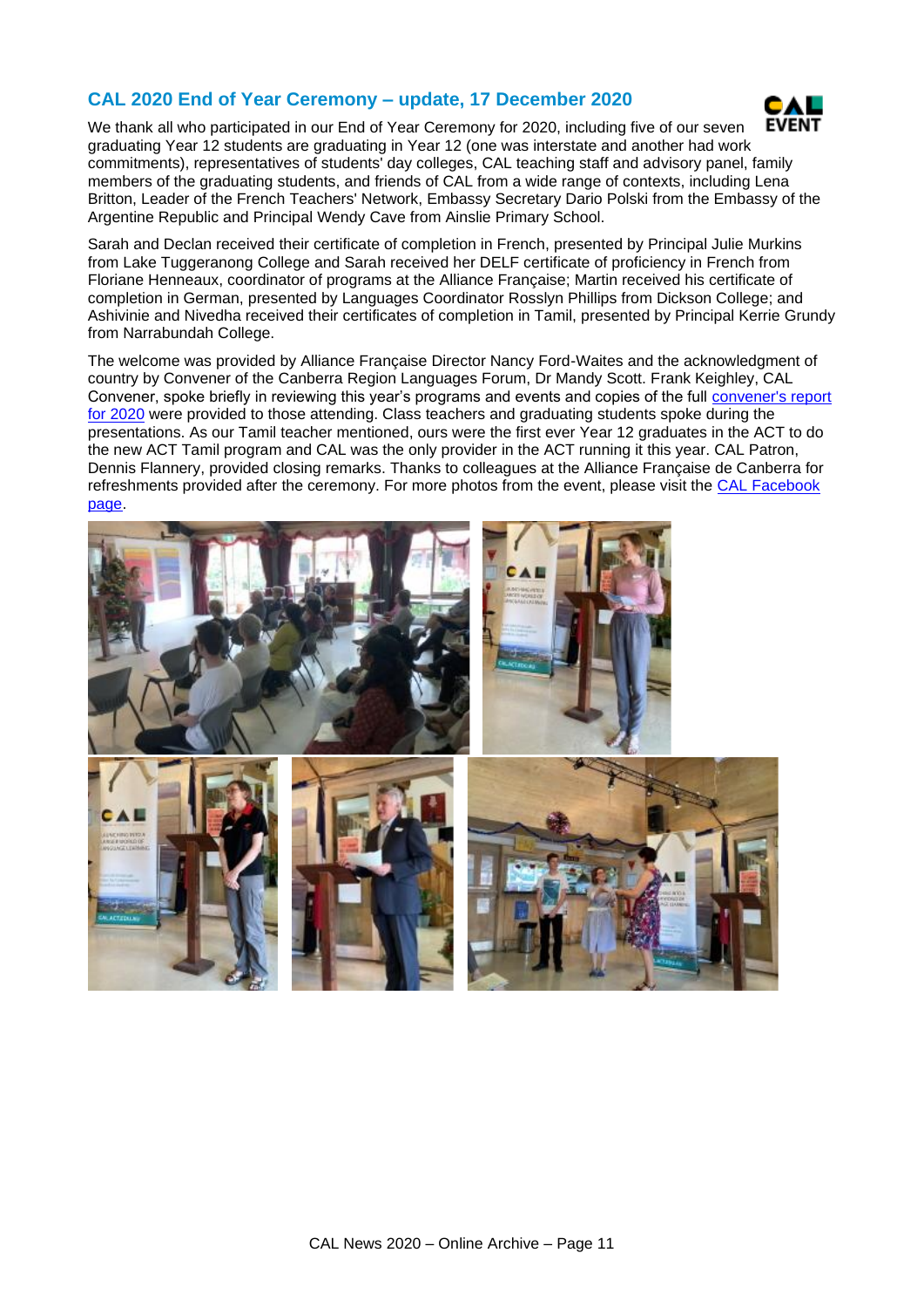## **CAL 2020 End of Year Ceremony – update, 17 December 2020**



We thank all who participated in our End of Year Ceremony for 2020, including five of our seven graduating Year 12 students are graduating in Year 12 (one was interstate and another had work commitments), representatives of students' day colleges, CAL teaching staff and advisory panel, family members of the graduating students, and friends of CAL from a wide range of contexts, including Lena Britton, Leader of the French Teachers' Network, Embassy Secretary Dario Polski from the Embassy of the Argentine Republic and Principal Wendy Cave from Ainslie Primary School.

Sarah and Declan received their certificate of completion in French, presented by Principal Julie Murkins from Lake Tuggeranong College and Sarah received her DELF certificate of proficiency in French from Floriane Henneaux, coordinator of programs at the Alliance Française; Martin received his certificate of completion in German, presented by Languages Coordinator Rosslyn Phillips from Dickson College; and Ashivinie and Nivedha received their certificates of completion in Tamil, presented by Principal Kerrie Grundy from Narrabundah College.

The welcome was provided by Alliance Française Director Nancy Ford-Waites and the acknowledgment of country by Convener of the Canberra Region Languages Forum, Dr Mandy Scott. Frank Keighley, CAL Convener, spoke briefly in reviewing this year's programs and events and copies of the full [convener's report](https://cal.act.edu.au/docs/Convener)  [for 2020](https://cal.act.edu.au/docs/Convener) were provided to those attending. Class teachers and graduating students spoke during the presentations. As our Tamil teacher mentioned, ours were the first ever Year 12 graduates in the ACT to do the new ACT Tamil program and CAL was the only provider in the ACT running it this year. CAL Patron, Dennis Flannery, provided closing remarks. Thanks to colleagues at the Alliance Française de Canberra for refreshments provided after the ceremony. For more photos from the event, please visit the [CAL Facebook](https://www.facebook.com/CanberraAcademyOfLanguages)  [page.](https://www.facebook.com/CanberraAcademyOfLanguages)